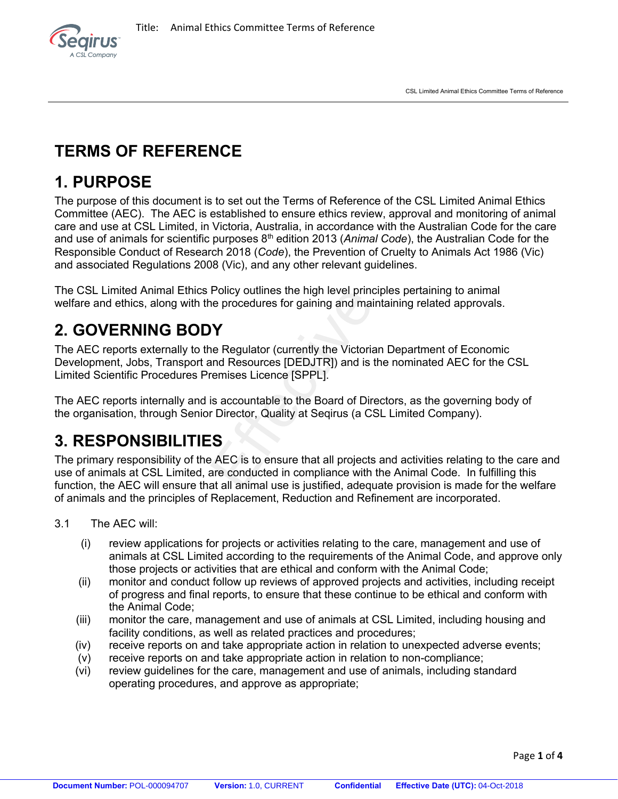

# **TERMS OF REFERENCE**

# **1. PURPOSE**

The purpose of this document is to set out the Terms of Reference of the CSL Limited Animal Ethics Committee (AEC). The AEC is established to ensure ethics review, approval and monitoring of animal care and use at CSL Limited, in Victoria, Australia, in accordance with the Australian Code for the care and use of animals for scientific purposes 8<sup>th</sup> edition 2013 (*Animal Code*), the Australian Code for the Responsible Conduct of Research 2018 (*Code*), the Prevention of Cruelty to Animals Act 1986 (Vic) and associated Regulations 2008 (Vic), and any other relevant guidelines.

The CSL Limited Animal Ethics Policy outlines the high level principles pertaining to animal welfare and ethics, along with the procedures for gaining and maintaining related approvals.

# **2. GOVERNING BODY**

Policy outlines the high level principle<br>
Ne procedures for gaining and mainta<br>
Ne Regulator (currently the Victorian I<br>
and Resources [DEDJTR]) and is the<br>
remises Licence [SPPL].<br>
is accountable to the Board of Direct<br>
r The AEC reports externally to the Regulator (currently the Victorian Department of Economic Development, Jobs, Transport and Resources [DEDJTR]) and is the nominated AEC for the CSL Limited Scientific Procedures Premises Licence [SPPL].

The AEC reports internally and is accountable to the Board of Directors, as the governing body of the organisation, through Senior Director, Quality at Seqirus (a CSL Limited Company).

# **3. RESPONSIBILITIES**

The primary responsibility of the AEC is to ensure that all projects and activities relating to the care and use of animals at CSL Limited, are conducted in compliance with the Animal Code. In fulfilling this function, the AEC will ensure that all animal use is justified, adequate provision is made for the welfare of animals and the principles of Replacement, Reduction and Refinement are incorporated.

- 3.1 The AEC will:
	- (i) review applications for projects or activities relating to the care, management and use of animals at CSL Limited according to the requirements of the Animal Code, and approve only those projects or activities that are ethical and conform with the Animal Code;
	- (ii) monitor and conduct follow up reviews of approved projects and activities, including receipt of progress and final reports, to ensure that these continue to be ethical and conform with the Animal Code;
	- (iii) monitor the care, management and use of animals at CSL Limited, including housing and facility conditions, as well as related practices and procedures;
	- (iv) receive reports on and take appropriate action in relation to unexpected adverse events;
	- (v) receive reports on and take appropriate action in relation to non-compliance;
	- (vi) review guidelines for the care, management and use of animals, including standard operating procedures, and approve as appropriate;

Page **1** of **4**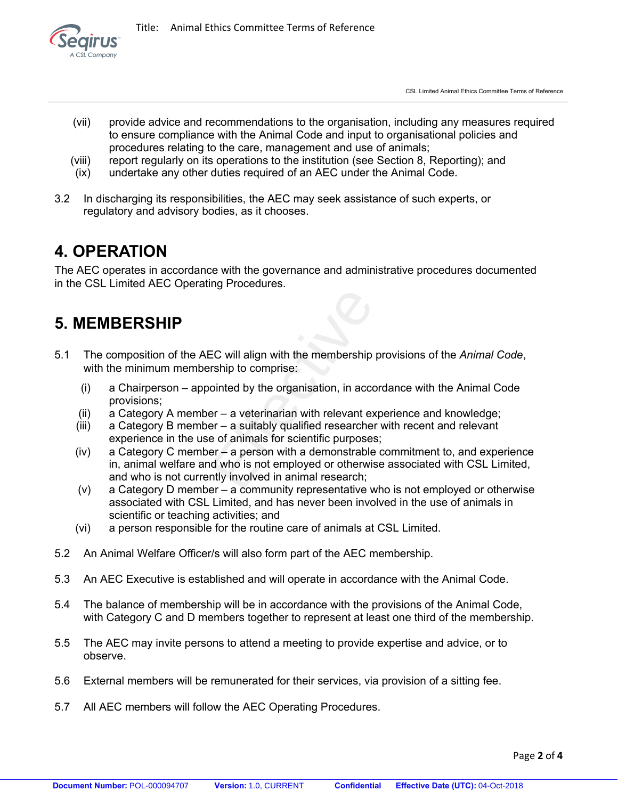

- (vii) provide advice and recommendations to the organisation, including any measures required to ensure compliance with the Animal Code and input to organisational policies and procedures relating to the care, management and use of animals;
- (viii) report regularly on its operations to the institution (see Section 8, Reporting); and
- (ix) undertake any other duties required of an AEC under the Animal Code.
- 3.2 In discharging its responsibilities, the AEC may seek assistance of such experts, or regulatory and advisory bodies, as it chooses.

#### **4. OPERATION**

The AEC operates in accordance with the governance and administrative procedures documented in the CSL Limited AEC Operating Procedures.

#### **5. MEMBERSHIP**

- 5.1 The composition of the AEC will align with the membership provisions of the *Animal Code*, with the minimum membership to comprise:
	- (i) a Chairperson appointed by the organisation, in accordance with the Animal Code provisions;
	- (ii) a Category A member a veterinarian with relevant experience and knowledge;
	- (iii) a Category B member a suitably qualified researcher with recent and relevant experience in the use of animals for scientific purposes;
- EC will align with the membership pro-<br>
rship to comprise:<br>
ointed by the organisation, in accords<br>
er a veterinarian with relevant expe<br>
er a suitably qualified researcher with<br>
e of animals for scientific purposes;<br> (iv) a Category C member – a person with a demonstrable commitment to, and experience in, animal welfare and who is not employed or otherwise associated with CSL Limited, and who is not currently involved in animal research;
	- (v) a Category D member a community representative who is not employed or otherwise associated with CSL Limited, and has never been involved in the use of animals in scientific or teaching activities; and
	- (vi) a person responsible for the routine care of animals at CSL Limited.
- 5.2 An Animal Welfare Officer/s will also form part of the AEC membership.
- 5.3 An AEC Executive is established and will operate in accordance with the Animal Code.
- 5.4 The balance of membership will be in accordance with the provisions of the Animal Code, with Category C and D members together to represent at least one third of the membership.
- 5.5 The AEC may invite persons to attend a meeting to provide expertise and advice, or to observe.
- 5.6 External members will be remunerated for their services, via provision of a sitting fee.
- 5.7 All AEC members will follow the AEC Operating Procedures.

Page **2** of **4**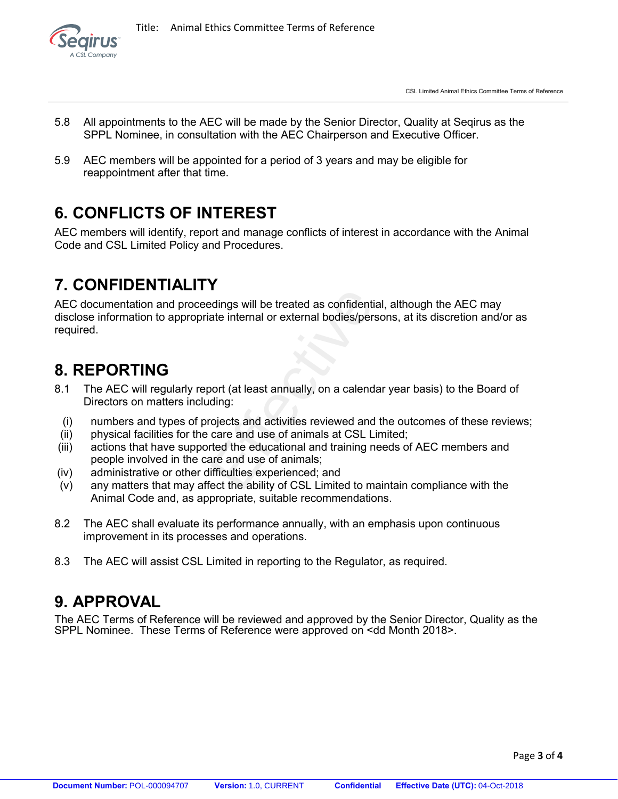

- 5.8 All appointments to the AEC will be made by the Senior Director, Quality at Seqirus as the SPPL Nominee, in consultation with the AEC Chairperson and Executive Officer.
- 5.9 AEC members will be appointed for a period of 3 years and may be eligible for reappointment after that time.

#### **6. CONFLICTS OF INTEREST**

AEC members will identify, report and manage conflicts of interest in accordance with the Animal Code and CSL Limited Policy and Procedures.

#### **7. CONFIDENTIALITY**

France internal or external bodies/person<br>
port (at least annually, on a calendar<br>
port (at least annually, on a calendar<br>
port (at least annually, on a calendar<br>
port (at least annually, on a calendar<br>
port (at least annu AEC documentation and proceedings will be treated as confidential, although the AEC may disclose information to appropriate internal or external bodies/persons, at its discretion and/or as required.

#### **8. REPORTING**

- 8.1 The AEC will regularly report (at least annually, on a calendar year basis) to the Board of Directors on matters including:
- (i) numbers and types of projects and activities reviewed and the outcomes of these reviews;
- (ii) physical facilities for the care and use of animals at CSL Limited;
- (iii) actions that have supported the educational and training needs of AEC members and people involved in the care and use of animals;
- (iv) administrative or other difficulties experienced; and
- (v) any matters that may affect the ability of CSL Limited to maintain compliance with the Animal Code and, as appropriate, suitable recommendations.
- 8.2 The AEC shall evaluate its performance annually, with an emphasis upon continuous improvement in its processes and operations.
- 8.3 The AEC will assist CSL Limited in reporting to the Regulator, as required.

#### **9. APPROVAL**

The AEC Terms of Reference will be reviewed and approved by the Senior Director, Quality as the SPPL Nominee. These Terms of Reference were approved on <dd Month 2018>.

Page **3** of **4**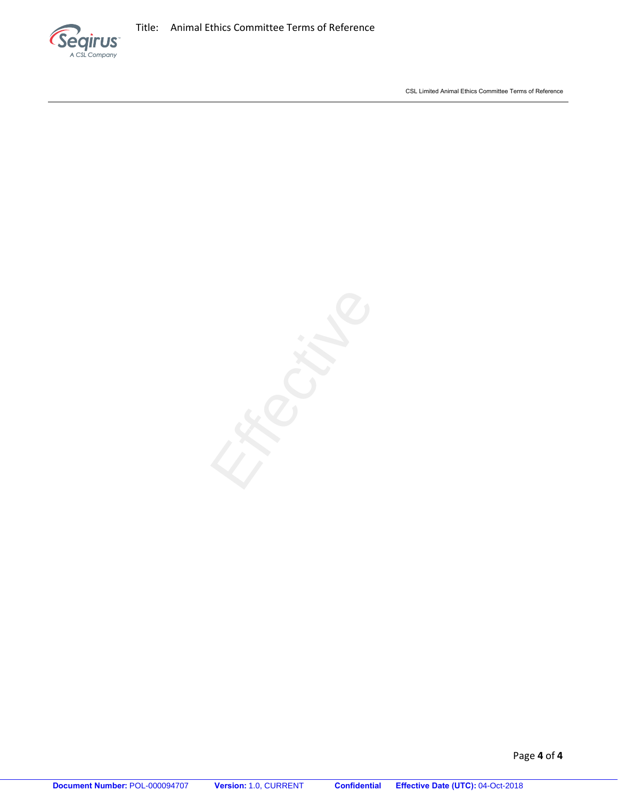

CSL Limited Animal Ethics Committee Terms of Reference

Pa

Page **4** of **4**